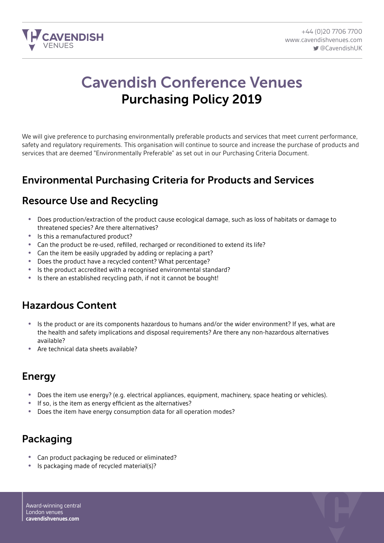

# Cavendish Conference Venues Purchasing Policy 2019

We will give preference to purchasing environmentally preferable products and services that meet current performance, safety and regulatory requirements. This organisation will continue to source and increase the purchase of products and services that are deemed "Environmentally Preferable" as set out in our Purchasing Criteria Document.

### Environmental Purchasing Criteria for Products and Services

### Resource Use and Recycling

- Does production/extraction of the product cause ecological damage, such as loss of habitats or damage to threatened species? Are there alternatives?
- Is this a remanufactured product?
- Can the product be re-used, refilled, recharged or reconditioned to extend its life?<br>• Can the item be easily upgraded by adding or replacing a part?
- Can the item be easily upgraded by adding or replacing a part?
- Does the product have a recycled content? What percentage?
- Is the product accredited with a recognised environmental standard?<br>• Is there an established recycling path if not it cannot be bought!
- Is there an established recycling path, if not it cannot be bought!

## Hazardous Content

- Is the product or are its components hazardous to humans and/or the wider environment? If yes, what are the health and safety implications and disposal requirements? Are there any non-hazardous alternatives available?
- Are technical data sheets available?

### Energy

- Does the item use energy? (e.g. electrical appliances, equipment, machinery, space heating or vehicles).
- If so, is the item as energy efficient as the alternatives?
- Does the item have energy consumption data for all operation modes?

# Packaging

- Can product packaging be reduced or eliminated?
- Is packaging made of recycled material(s)?

Award-winning central London venues **cavendishvenues.com**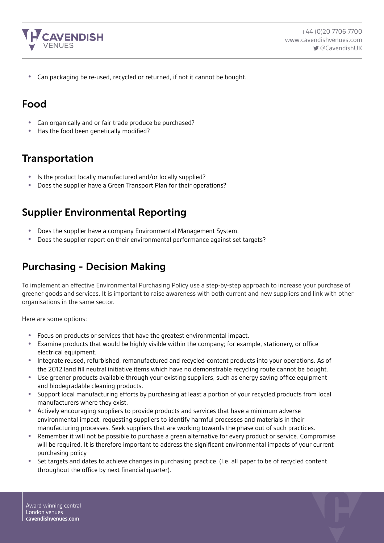

• Can packaging be re-used, recycled or returned, if not it cannot be bought.

#### Food

- Can organically and or fair trade produce be purchased?
- Has the food been genetically modified?

#### **Transportation**

- Is the product locally manufactured and/or locally supplied?<br>• Does the supplier have a Green Transport Plan for their oper
- Does the supplier have a Green Transport Plan for their operations?

### Supplier Environmental Reporting

- Does the supplier have a company Environmental Management System.
- Does the supplier report on their environmental performance against set targets?

### Purchasing - Decision Making

To implement an effective Environmental Purchasing Policy use a step-by-step approach to increase your purchase of greener goods and services. It is important to raise awareness with both current and new suppliers and link with other organisations in the same sector.

Here are some options:

- Focus on products or services that have the greatest environmental impact.
- Examine products that would be highly visible within the company; for example, stationery, or office electrical equipment.
- Integrate reused, refurbished, remanufactured and recycled-content products into your operations. As of the 2012 land fill neutral initiative items which have no demonstrable recycling route cannot be bought.
- Use greener products available through your existing suppliers, such as energy saving office equipment and biodegradable cleaning products.
- Support local manufacturing efforts by purchasing at least a portion of your recycled products from local manufacturers where they exist.
- Actively encouraging suppliers to provide products and services that have a minimum adverse environmental impact, requesting suppliers to identify harmful processes and materials in their manufacturing processes. Seek suppliers that are working towards the phase out of such practices.
- Remember it will not be possible to purchase a green alternative for every product or service. Compromise will be required. It is therefore important to address the significant environmental impacts of your current purchasing policy
- Set targets and dates to achieve changes in purchasing practice. (I.e. all paper to be of recycled content throughout the office by next financial quarter).

Award-winning central London venues **cavendishvenues.com**